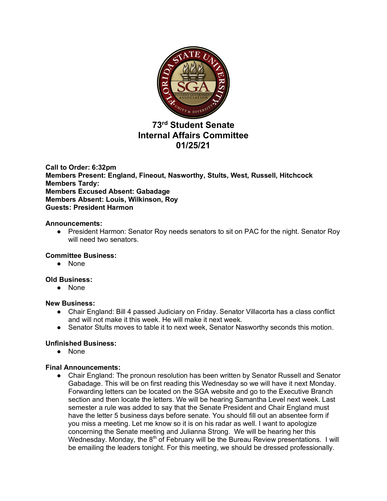

# **73rd Student Senate Internal Affairs Committee 01/25/21**

**Call to Order: 6:32pm Members Present: England, Fineout, Nasworthy, Stults, West, Russell, Hitchcock Members Tardy: Members Excused Absent: Gabadage Members Absent: Louis, Wilkinson, Roy Guests: President Harmon**

### **Announcements:**

• President Harmon: Senator Roy needs senators to sit on PAC for the night. Senator Roy will need two senators.

## **Committee Business:**

● None

#### **Old Business:**

● None

#### **New Business:**

- Chair England: Bill 4 passed Judiciary on Friday. Senator Villacorta has a class conflict and will not make it this week. He will make it next week.
- Senator Stults moves to table it to next week, Senator Nasworthy seconds this motion.

## **Unfinished Business:**

● None

#### **Final Announcements:**

● Chair England: The pronoun resolution has been written by Senator Russell and Senator Gabadage. This will be on first reading this Wednesday so we will have it next Monday. Forwarding letters can be located on the SGA website and go to the Executive Branch section and then locate the letters. We will be hearing Samantha Level next week. Last semester a rule was added to say that the Senate President and Chair England must have the letter 5 business days before senate. You should fill out an absentee form if you miss a meeting. Let me know so it is on his radar as well. I want to apologize concerning the Senate meeting and Julianna Strong. We will be hearing her this Wednesday. Monday, the  $8<sup>th</sup>$  of February will be the Bureau Review presentations. I will be emailing the leaders tonight. For this meeting, we should be dressed professionally.